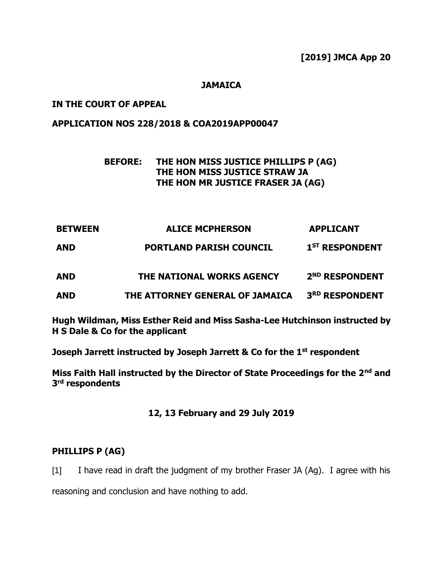### **JAMAICA**

### **IN THE COURT OF APPEAL**

### **APPLICATION NOS 228/2018 & COA2019APP00047**

# **BEFORE: THE HON MISS JUSTICE PHILLIPS P (AG) THE HON MISS JUSTICE STRAW JA THE HON MR JUSTICE FRASER JA (AG)**

| <b>BETWEEN</b> | <b>ALICE MCPHERSON</b>          | <b>APPLICANT</b>           |
|----------------|---------------------------------|----------------------------|
| <b>AND</b>     | <b>PORTLAND PARISH COUNCIL</b>  | 1 <sup>ST</sup> RESPONDENT |
| <b>AND</b>     | THE NATIONAL WORKS AGENCY       | 2 <sup>ND</sup> RESPONDENT |
| <b>AND</b>     | THE ATTORNEY GENERAL OF JAMAICA | 3RD RESPONDENT             |

**Hugh Wildman, Miss Esther Reid and Miss Sasha-Lee Hutchinson instructed by H S Dale & Co for the applicant**

**Joseph Jarrett instructed by Joseph Jarrett & Co for the 1 st respondent**

**Miss Faith Hall instructed by the Director of State Proceedings for the 2nd and 3 rd respondents**

#### **12, 13 February and 29 July 2019**

### **PHILLIPS P (AG)**

[1] I have read in draft the judgment of my brother Fraser JA (Ag). I agree with his

reasoning and conclusion and have nothing to add.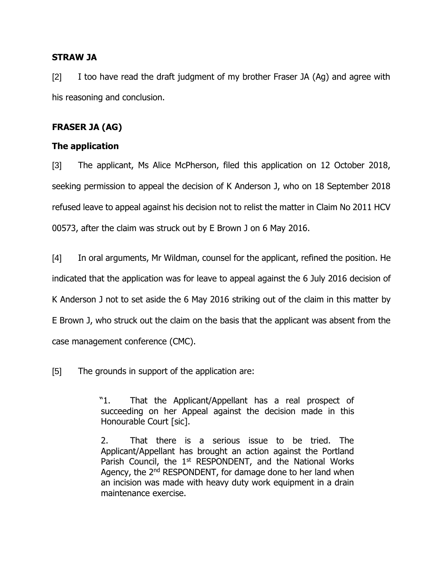### **STRAW JA**

[2] I too have read the draft judgment of my brother Fraser JA (Ag) and agree with his reasoning and conclusion.

# **FRASER JA (AG)**

# **The application**

[3] The applicant, Ms Alice McPherson, filed this application on 12 October 2018, seeking permission to appeal the decision of K Anderson J, who on 18 September 2018 refused leave to appeal against his decision not to relist the matter in Claim No 2011 HCV 00573, after the claim was struck out by E Brown J on 6 May 2016.

[4] In oral arguments, Mr Wildman, counsel for the applicant, refined the position. He indicated that the application was for leave to appeal against the 6 July 2016 decision of K Anderson J not to set aside the 6 May 2016 striking out of the claim in this matter by E Brown J, who struck out the claim on the basis that the applicant was absent from the case management conference (CMC).

[5] The grounds in support of the application are:

 "1. That the Applicant/Appellant has a real prospect of succeeding on her Appeal against the decision made in this Honourable Court [sic].

2. That there is a serious issue to be tried. The Applicant/Appellant has brought an action against the Portland Parish Council, the 1<sup>st</sup> RESPONDENT, and the National Works Agency, the 2<sup>nd</sup> RESPONDENT, for damage done to her land when an incision was made with heavy duty work equipment in a drain maintenance exercise.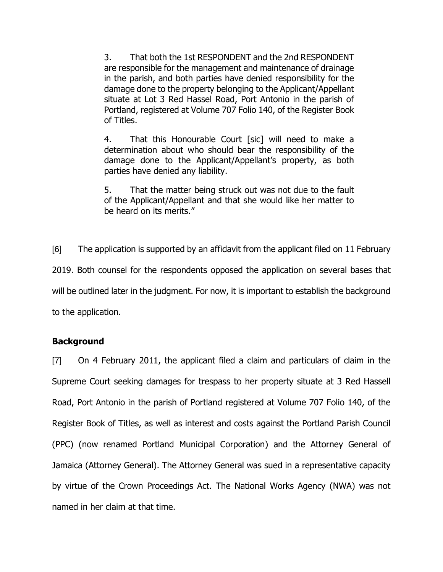3. That both the 1st RESPONDENT and the 2nd RESPONDENT are responsible for the management and maintenance of drainage in the parish, and both parties have denied responsibility for the damage done to the property belonging to the Applicant/Appellant situate at Lot 3 Red Hassel Road, Port Antonio in the parish of Portland, registered at Volume 707 Folio 140, of the Register Book of Titles.

4. That this Honourable Court [sic] will need to make a determination about who should bear the responsibility of the damage done to the Applicant/Appellant's property, as both parties have denied any liability.

5. That the matter being struck out was not due to the fault of the Applicant/Appellant and that she would like her matter to be heard on its merits."

[6] The application is supported by an affidavit from the applicant filed on 11 February 2019. Both counsel for the respondents opposed the application on several bases that will be outlined later in the judgment. For now, it is important to establish the background to the application.

# **Background**

[7] On 4 February 2011, the applicant filed a claim and particulars of claim in the Supreme Court seeking damages for trespass to her property situate at 3 Red Hassell Road, Port Antonio in the parish of Portland registered at Volume 707 Folio 140, of the Register Book of Titles, as well as interest and costs against the Portland Parish Council (PPC) (now renamed Portland Municipal Corporation) and the Attorney General of Jamaica (Attorney General). The Attorney General was sued in a representative capacity by virtue of the Crown Proceedings Act. The National Works Agency (NWA) was not named in her claim at that time.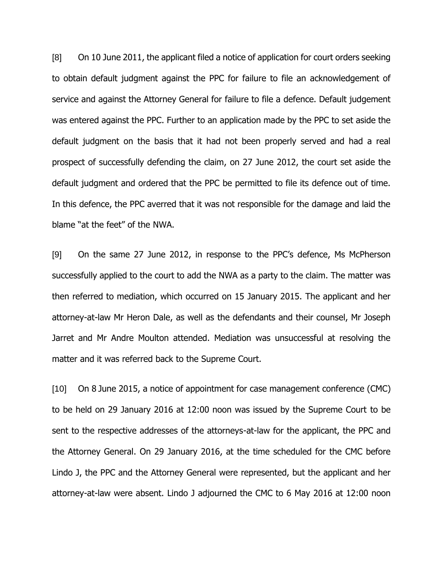[8] On 10 June 2011, the applicant filed a notice of application for court orders seeking to obtain default judgment against the PPC for failure to file an acknowledgement of service and against the Attorney General for failure to file a defence. Default judgement was entered against the PPC. Further to an application made by the PPC to set aside the default judgment on the basis that it had not been properly served and had a real prospect of successfully defending the claim, on 27 June 2012, the court set aside the default judgment and ordered that the PPC be permitted to file its defence out of time. In this defence, the PPC averred that it was not responsible for the damage and laid the blame "at the feet" of the NWA.

[9] On the same 27 June 2012, in response to the PPC's defence, Ms McPherson successfully applied to the court to add the NWA as a party to the claim. The matter was then referred to mediation, which occurred on 15 January 2015. The applicant and her attorney-at-law Mr Heron Dale, as well as the defendants and their counsel, Mr Joseph Jarret and Mr Andre Moulton attended. Mediation was unsuccessful at resolving the matter and it was referred back to the Supreme Court.

[10] On 8 June 2015, a notice of appointment for case management conference (CMC) to be held on 29 January 2016 at 12:00 noon was issued by the Supreme Court to be sent to the respective addresses of the attorneys-at-law for the applicant, the PPC and the Attorney General. On 29 January 2016, at the time scheduled for the CMC before Lindo J, the PPC and the Attorney General were represented, but the applicant and her attorney-at-law were absent. Lindo J adjourned the CMC to 6 May 2016 at 12:00 noon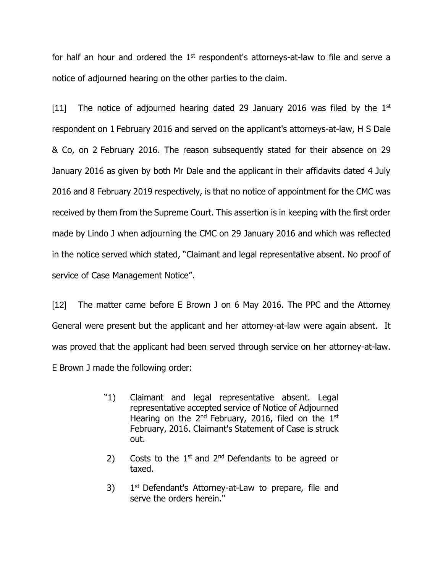for half an hour and ordered the  $1<sup>st</sup>$  respondent's attorneys-at-law to file and serve a notice of adjourned hearing on the other parties to the claim.

[11] The notice of adjourned hearing dated 29 January 2016 was filed by the  $1<sup>st</sup>$ respondent on 1 February 2016 and served on the applicant's attorneys-at-law, H S Dale & Co, on 2 February 2016. The reason subsequently stated for their absence on 29 January 2016 as given by both Mr Dale and the applicant in their affidavits dated 4 July 2016 and 8 February 2019 respectively, is that no notice of appointment for the CMC was received by them from the Supreme Court. This assertion is in keeping with the first order made by Lindo J when adjourning the CMC on 29 January 2016 and which was reflected in the notice served which stated, "Claimant and legal representative absent. No proof of service of Case Management Notice".

[12] The matter came before E Brown J on 6 May 2016. The PPC and the Attorney General were present but the applicant and her attorney-at-law were again absent. It was proved that the applicant had been served through service on her attorney-at-law. E Brown J made the following order:

- "1) Claimant and legal representative absent. Legal representative accepted service of Notice of Adjourned Hearing on the 2<sup>nd</sup> February, 2016, filed on the 1st February, 2016. Claimant's Statement of Case is struck out.
- 2) Costs to the  $1<sup>st</sup>$  and  $2<sup>nd</sup>$  Defendants to be agreed or taxed.
- 3)  $1<sup>st</sup>$  Defendant's Attorney-at-Law to prepare, file and serve the orders herein."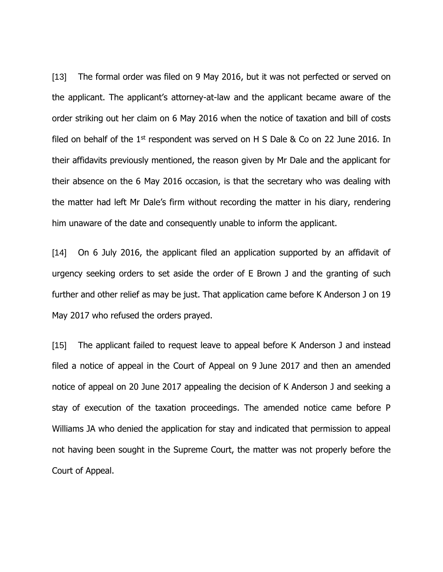[13] The formal order was filed on 9 May 2016, but it was not perfected or served on the applicant. The applicant's attorney-at-law and the applicant became aware of the order striking out her claim on 6 May 2016 when the notice of taxation and bill of costs filed on behalf of the  $1<sup>st</sup>$  respondent was served on H S Dale & Co on 22 June 2016. In their affidavits previously mentioned, the reason given by Mr Dale and the applicant for their absence on the 6 May 2016 occasion, is that the secretary who was dealing with the matter had left Mr Dale's firm without recording the matter in his diary, rendering him unaware of the date and consequently unable to inform the applicant.

[14] On 6 July 2016, the applicant filed an application supported by an affidavit of urgency seeking orders to set aside the order of E Brown J and the granting of such further and other relief as may be just. That application came before K Anderson J on 19 May 2017 who refused the orders prayed.

[15] The applicant failed to request leave to appeal before K Anderson J and instead filed a notice of appeal in the Court of Appeal on 9 June 2017 and then an amended notice of appeal on 20 June 2017 appealing the decision of K Anderson J and seeking a stay of execution of the taxation proceedings. The amended notice came before P Williams JA who denied the application for stay and indicated that permission to appeal not having been sought in the Supreme Court, the matter was not properly before the Court of Appeal.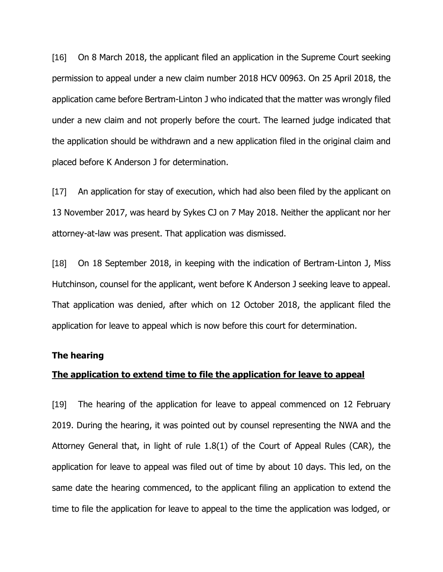[16] On 8 March 2018, the applicant filed an application in the Supreme Court seeking permission to appeal under a new claim number 2018 HCV 00963. On 25 April 2018, the application came before Bertram-Linton J who indicated that the matter was wrongly filed under a new claim and not properly before the court. The learned judge indicated that the application should be withdrawn and a new application filed in the original claim and placed before K Anderson J for determination.

[17] An application for stay of execution, which had also been filed by the applicant on 13 November 2017, was heard by Sykes CJ on 7 May 2018. Neither the applicant nor her attorney-at-law was present. That application was dismissed.

[18] On 18 September 2018, in keeping with the indication of Bertram-Linton J, Miss Hutchinson, counsel for the applicant, went before K Anderson J seeking leave to appeal. That application was denied, after which on 12 October 2018, the applicant filed the application for leave to appeal which is now before this court for determination.

#### **The hearing**

#### **The application to extend time to file the application for leave to appeal**

[19] The hearing of the application for leave to appeal commenced on 12 February 2019. During the hearing, it was pointed out by counsel representing the NWA and the Attorney General that, in light of rule 1.8(1) of the Court of Appeal Rules (CAR), the application for leave to appeal was filed out of time by about 10 days. This led, on the same date the hearing commenced, to the applicant filing an application to extend the time to file the application for leave to appeal to the time the application was lodged, or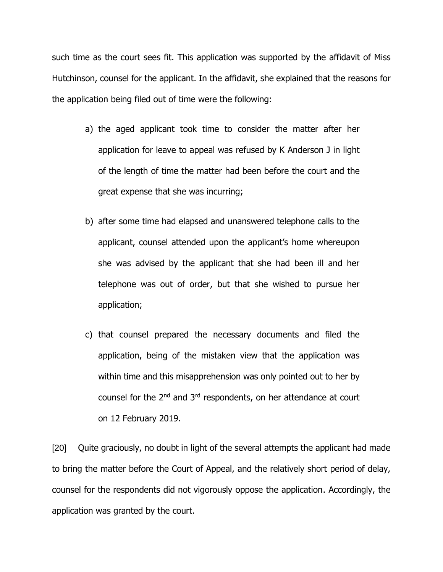such time as the court sees fit. This application was supported by the affidavit of Miss Hutchinson, counsel for the applicant. In the affidavit, she explained that the reasons for the application being filed out of time were the following:

- a) the aged applicant took time to consider the matter after her application for leave to appeal was refused by K Anderson J in light of the length of time the matter had been before the court and the great expense that she was incurring;
- b) after some time had elapsed and unanswered telephone calls to the applicant, counsel attended upon the applicant's home whereupon she was advised by the applicant that she had been ill and her telephone was out of order, but that she wished to pursue her application;
- c) that counsel prepared the necessary documents and filed the application, being of the mistaken view that the application was within time and this misapprehension was only pointed out to her by counsel for the 2<sup>nd</sup> and 3<sup>rd</sup> respondents, on her attendance at court on 12 February 2019.

[20] Quite graciously, no doubt in light of the several attempts the applicant had made to bring the matter before the Court of Appeal, and the relatively short period of delay, counsel for the respondents did not vigorously oppose the application. Accordingly, the application was granted by the court.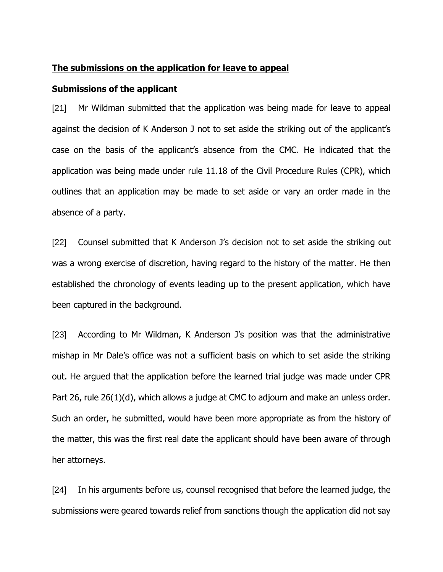#### **The submissions on the application for leave to appeal**

#### **Submissions of the applicant**

[21] Mr Wildman submitted that the application was being made for leave to appeal against the decision of K Anderson J not to set aside the striking out of the applicant's case on the basis of the applicant's absence from the CMC. He indicated that the application was being made under rule 11.18 of the Civil Procedure Rules (CPR), which outlines that an application may be made to set aside or vary an order made in the absence of a party.

[22] Counsel submitted that K Anderson J's decision not to set aside the striking out was a wrong exercise of discretion, having regard to the history of the matter. He then established the chronology of events leading up to the present application, which have been captured in the background.

[23] According to Mr Wildman, K Anderson J's position was that the administrative mishap in Mr Dale's office was not a sufficient basis on which to set aside the striking out. He argued that the application before the learned trial judge was made under CPR Part 26, rule 26(1)(d), which allows a judge at CMC to adjourn and make an unless order. Such an order, he submitted, would have been more appropriate as from the history of the matter, this was the first real date the applicant should have been aware of through her attorneys.

[24] In his arguments before us, counsel recognised that before the learned judge, the submissions were geared towards relief from sanctions though the application did not say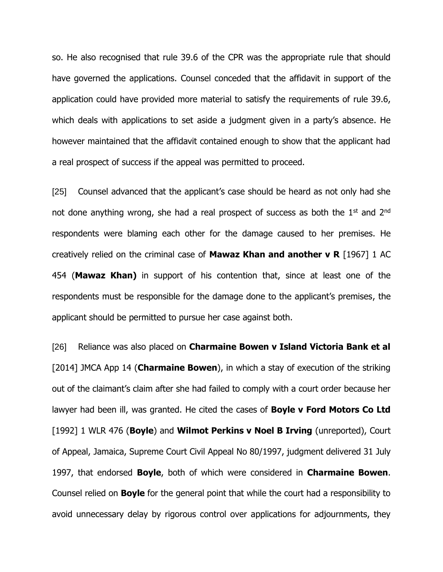so. He also recognised that rule 39.6 of the CPR was the appropriate rule that should have governed the applications. Counsel conceded that the affidavit in support of the application could have provided more material to satisfy the requirements of rule 39.6, which deals with applications to set aside a judgment given in a party's absence. He however maintained that the affidavit contained enough to show that the applicant had a real prospect of success if the appeal was permitted to proceed.

[25] Counsel advanced that the applicant's case should be heard as not only had she not done anything wrong, she had a real prospect of success as both the  $1<sup>st</sup>$  and  $2<sup>nd</sup>$ respondents were blaming each other for the damage caused to her premises. He creatively relied on the criminal case of **Mawaz Khan and another v R** [1967] 1 AC 454 (**Mawaz Khan)** in support of his contention that, since at least one of the respondents must be responsible for the damage done to the applicant's premises, the applicant should be permitted to pursue her case against both.

[26] Reliance was also placed on **Charmaine Bowen v Island Victoria Bank et al** [2014] JMCA App 14 (**Charmaine Bowen**), in which a stay of execution of the striking out of the claimant's claim after she had failed to comply with a court order because her lawyer had been ill, was granted. He cited the cases of **Boyle v Ford Motors Co Ltd** [1992] 1 WLR 476 (**Boyle**) and **Wilmot Perkins v Noel B Irving** (unreported), Court of Appeal, Jamaica, Supreme Court Civil Appeal No 80/1997, judgment delivered 31 July 1997, that endorsed **Boyle**, both of which were considered in **Charmaine Bowen**. Counsel relied on **Boyle** for the general point that while the court had a responsibility to avoid unnecessary delay by rigorous control over applications for adjournments, they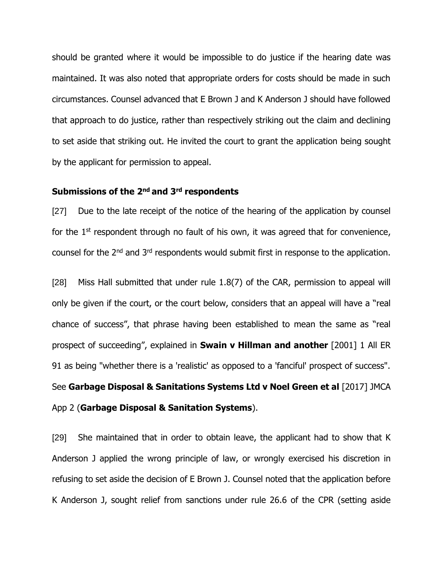should be granted where it would be impossible to do justice if the hearing date was maintained. It was also noted that appropriate orders for costs should be made in such circumstances. Counsel advanced that E Brown J and K Anderson J should have followed that approach to do justice, rather than respectively striking out the claim and declining to set aside that striking out. He invited the court to grant the application being sought by the applicant for permission to appeal.

# **Submissions of the 2nd and 3rd respondents**

[27] Due to the late receipt of the notice of the hearing of the application by counsel for the  $1<sup>st</sup>$  respondent through no fault of his own, it was agreed that for convenience, counsel for the 2nd and 3rd respondents would submit first in response to the application.

[28] Miss Hall submitted that under rule 1.8(7) of the CAR, permission to appeal will only be given if the court, or the court below, considers that an appeal will have a "real chance of success", that phrase having been established to mean the same as "real prospect of succeeding", explained in **Swain v Hillman and another** [2001] 1 All ER 91 as being "whether there is a 'realistic' as opposed to a 'fanciful' prospect of success". See **Garbage Disposal & Sanitations Systems Ltd v Noel Green et al** [2017] JMCA App 2 (**Garbage Disposal & Sanitation Systems**).

[29] She maintained that in order to obtain leave, the applicant had to show that K Anderson J applied the wrong principle of law, or wrongly exercised his discretion in refusing to set aside the decision of E Brown J. Counsel noted that the application before K Anderson J, sought relief from sanctions under rule 26.6 of the CPR (setting aside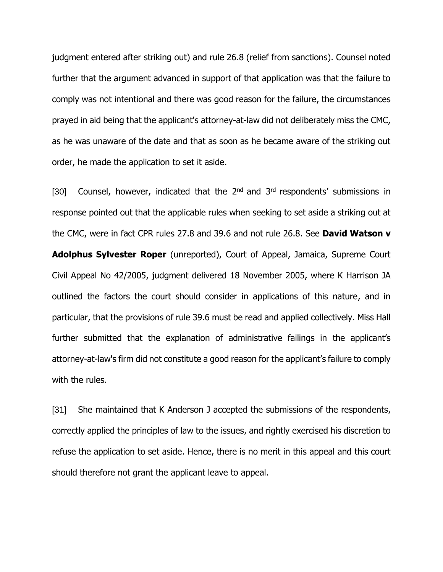judgment entered after striking out) and rule 26.8 (relief from sanctions). Counsel noted further that the argument advanced in support of that application was that the failure to comply was not intentional and there was good reason for the failure, the circumstances prayed in aid being that the applicant's attorney-at-law did not deliberately miss the CMC, as he was unaware of the date and that as soon as he became aware of the striking out order, he made the application to set it aside.

[30] Counsel, however, indicated that the 2<sup>nd</sup> and 3<sup>rd</sup> respondents' submissions in response pointed out that the applicable rules when seeking to set aside a striking out at the CMC, were in fact CPR rules 27.8 and 39.6 and not rule 26.8. See **David Watson v Adolphus Sylvester Roper** (unreported), Court of Appeal, Jamaica, Supreme Court Civil Appeal No 42/2005, judgment delivered 18 November 2005, where K Harrison JA outlined the factors the court should consider in applications of this nature, and in particular, that the provisions of rule 39.6 must be read and applied collectively. Miss Hall further submitted that the explanation of administrative failings in the applicant's attorney-at-law's firm did not constitute a good reason for the applicant's failure to comply with the rules.

[31] She maintained that K Anderson J accepted the submissions of the respondents, correctly applied the principles of law to the issues, and rightly exercised his discretion to refuse the application to set aside. Hence, there is no merit in this appeal and this court should therefore not grant the applicant leave to appeal.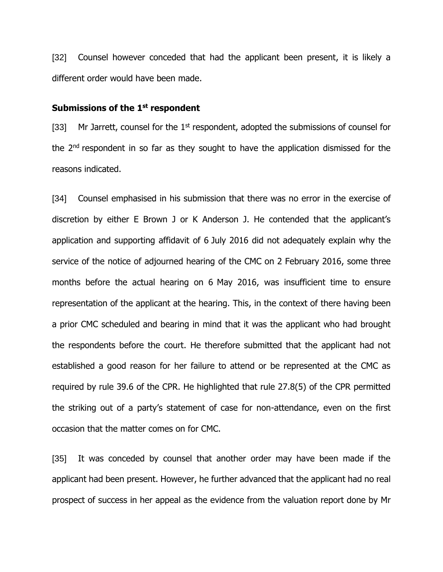[32] Counsel however conceded that had the applicant been present, it is likely a different order would have been made.

#### **Submissions of the 1st respondent**

[33] Mr Jarrett, counsel for the  $1<sup>st</sup>$  respondent, adopted the submissions of counsel for the 2<sup>nd</sup> respondent in so far as they sought to have the application dismissed for the reasons indicated.

[34] Counsel emphasised in his submission that there was no error in the exercise of discretion by either E Brown J or K Anderson J. He contended that the applicant's application and supporting affidavit of 6 July 2016 did not adequately explain why the service of the notice of adjourned hearing of the CMC on 2 February 2016, some three months before the actual hearing on 6 May 2016, was insufficient time to ensure representation of the applicant at the hearing. This, in the context of there having been a prior CMC scheduled and bearing in mind that it was the applicant who had brought the respondents before the court. He therefore submitted that the applicant had not established a good reason for her failure to attend or be represented at the CMC as required by rule 39.6 of the CPR. He highlighted that rule 27.8(5) of the CPR permitted the striking out of a party's statement of case for non-attendance, even on the first occasion that the matter comes on for CMC.

[35] It was conceded by counsel that another order may have been made if the applicant had been present. However, he further advanced that the applicant had no real prospect of success in her appeal as the evidence from the valuation report done by Mr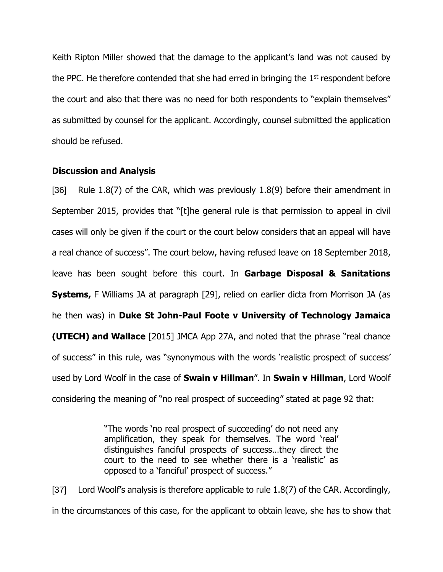Keith Ripton Miller showed that the damage to the applicant's land was not caused by the PPC. He therefore contended that she had erred in bringing the  $1<sup>st</sup>$  respondent before the court and also that there was no need for both respondents to "explain themselves" as submitted by counsel for the applicant. Accordingly, counsel submitted the application should be refused.

#### **Discussion and Analysis**

[36] Rule 1.8(7) of the CAR, which was previously 1.8(9) before their amendment in September 2015, provides that "[t]he general rule is that permission to appeal in civil cases will only be given if the court or the court below considers that an appeal will have a real chance of success". The court below, having refused leave on 18 September 2018, leave has been sought before this court. In **Garbage Disposal & Sanitations Systems,** F Williams JA at paragraph [29], relied on earlier dicta from Morrison JA (as he then was) in **Duke St John-Paul Foote v University of Technology Jamaica (UTECH) and Wallace** [2015] JMCA App 27A, and noted that the phrase "real chance of success" in this rule, was "synonymous with the words 'realistic prospect of success' used by Lord Woolf in the case of **Swain v Hillman**". In **Swain v Hillman**, Lord Woolf considering the meaning of "no real prospect of succeeding" stated at page 92 that:

> "The words 'no real prospect of succeeding' do not need any amplification, they speak for themselves. The word 'real' distinguishes fanciful prospects of success…they direct the court to the need to see whether there is a 'realistic' as opposed to a 'fanciful' prospect of success."

[37] Lord Woolf's analysis is therefore applicable to rule 1.8(7) of the CAR. Accordingly, in the circumstances of this case, for the applicant to obtain leave, she has to show that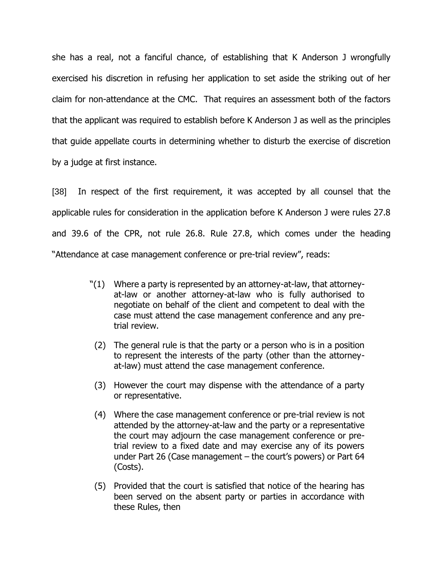she has a real, not a fanciful chance, of establishing that K Anderson J wrongfully exercised his discretion in refusing her application to set aside the striking out of her claim for non-attendance at the CMC. That requires an assessment both of the factors that the applicant was required to establish before K Anderson J as well as the principles that guide appellate courts in determining whether to disturb the exercise of discretion by a judge at first instance.

[38] In respect of the first requirement, it was accepted by all counsel that the applicable rules for consideration in the application before K Anderson J were rules 27.8 and 39.6 of the CPR, not rule 26.8. Rule 27.8, which comes under the heading "Attendance at case management conference or pre-trial review", reads:

- "(1) Where a party is represented by an attorney-at-law, that attorneyat-law or another attorney-at-law who is fully authorised to negotiate on behalf of the client and competent to deal with the case must attend the case management conference and any pretrial review.
	- (2) The general rule is that the party or a person who is in a position to represent the interests of the party (other than the attorneyat-law) must attend the case management conference.
	- (3) However the court may dispense with the attendance of a party or representative.
	- (4) Where the case management conference or pre-trial review is not attended by the attorney-at-law and the party or a representative the court may adjourn the case management conference or pretrial review to a fixed date and may exercise any of its powers under Part 26 (Case management – the court's powers) or Part 64 (Costs).
	- (5) Provided that the court is satisfied that notice of the hearing has been served on the absent party or parties in accordance with these Rules, then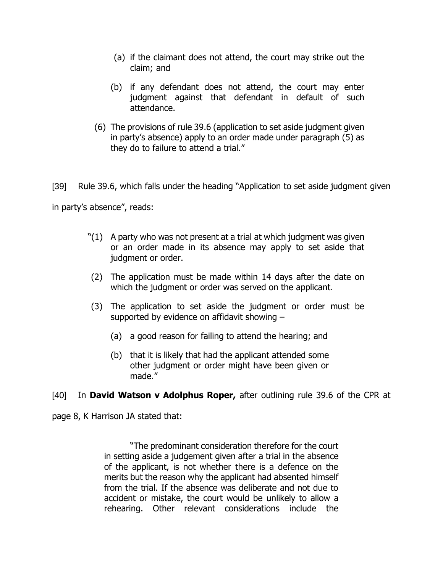- (a) if the claimant does not attend, the court may strike out the claim; and
- (b) if any defendant does not attend, the court may enter judgment against that defendant in default of such attendance.
- (6) The provisions of rule 39.6 (application to set aside judgment given in party's absence) apply to an order made under paragraph (5) as they do to failure to attend a trial."

[39] Rule 39.6, which falls under the heading "Application to set aside judgment given in party's absence", reads:

- $'(1)$  A party who was not present at a trial at which judgment was given or an order made in its absence may apply to set aside that judgment or order.
- (2) The application must be made within 14 days after the date on which the judgment or order was served on the applicant.
- (3) The application to set aside the judgment or order must be supported by evidence on affidavit showing –
	- (a) a good reason for failing to attend the hearing; and
	- (b) that it is likely that had the applicant attended some other judgment or order might have been given or made."

[40] In **David Watson v Adolphus Roper,** after outlining rule 39.6 of the CPR at

page 8, K Harrison JA stated that:

"The predominant consideration therefore for the court in setting aside a judgement given after a trial in the absence of the applicant, is not whether there is a defence on the merits but the reason why the applicant had absented himself from the trial. If the absence was deliberate and not due to accident or mistake, the court would be unlikely to allow a rehearing. Other relevant considerations include the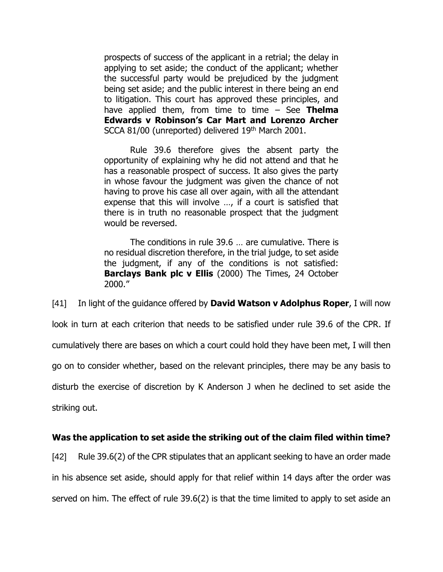prospects of success of the applicant in a retrial; the delay in applying to set aside; the conduct of the applicant; whether the successful party would be prejudiced by the judgment being set aside; and the public interest in there being an end to litigation. This court has approved these principles, and have applied them, from time to time – See **Thelma Edwards v Robinson's Car Mart and Lorenzo Archer** SCCA 81/00 (unreported) delivered 19<sup>th</sup> March 2001.

Rule 39.6 therefore gives the absent party the opportunity of explaining why he did not attend and that he has a reasonable prospect of success. It also gives the party in whose favour the judgment was given the chance of not having to prove his case all over again, with all the attendant expense that this will involve …, if a court is satisfied that there is in truth no reasonable prospect that the judgment would be reversed.

The conditions in rule 39.6 … are cumulative. There is no residual discretion therefore, in the trial judge, to set aside the judgment, if any of the conditions is not satisfied: **Barclays Bank plc v Ellis** (2000) The Times, 24 October 2000."

[41] In light of the guidance offered by **David Watson v Adolphus Roper**, I will now look in turn at each criterion that needs to be satisfied under rule 39.6 of the CPR. If cumulatively there are bases on which a court could hold they have been met, I will then go on to consider whether, based on the relevant principles, there may be any basis to disturb the exercise of discretion by K Anderson J when he declined to set aside the striking out.

### **Was the application to set aside the striking out of the claim filed within time?**

[42] Rule 39.6(2) of the CPR stipulates that an applicant seeking to have an order made in his absence set aside, should apply for that relief within 14 days after the order was served on him. The effect of rule 39.6(2) is that the time limited to apply to set aside an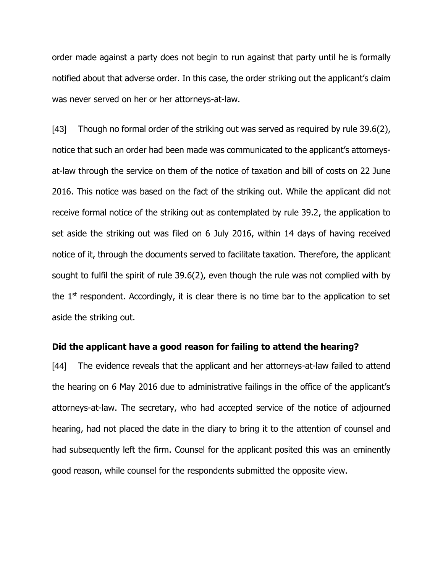order made against a party does not begin to run against that party until he is formally notified about that adverse order. In this case, the order striking out the applicant's claim was never served on her or her attorneys-at-law.

[43] Though no formal order of the striking out was served as required by rule 39.6(2), notice that such an order had been made was communicated to the applicant's attorneysat-law through the service on them of the notice of taxation and bill of costs on 22 June 2016. This notice was based on the fact of the striking out. While the applicant did not receive formal notice of the striking out as contemplated by rule 39.2, the application to set aside the striking out was filed on 6 July 2016, within 14 days of having received notice of it, through the documents served to facilitate taxation. Therefore, the applicant sought to fulfil the spirit of rule 39.6(2), even though the rule was not complied with by the 1<sup>st</sup> respondent. Accordingly, it is clear there is no time bar to the application to set aside the striking out.

#### **Did the applicant have a good reason for failing to attend the hearing?**

[44] The evidence reveals that the applicant and her attorneys-at-law failed to attend the hearing on 6 May 2016 due to administrative failings in the office of the applicant's attorneys-at-law. The secretary, who had accepted service of the notice of adjourned hearing, had not placed the date in the diary to bring it to the attention of counsel and had subsequently left the firm. Counsel for the applicant posited this was an eminently good reason, while counsel for the respondents submitted the opposite view.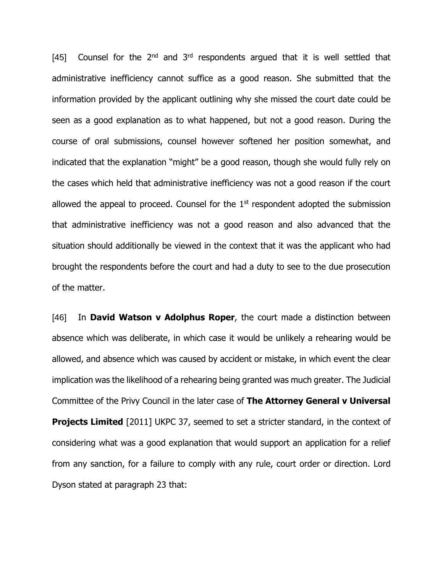[45] Counsel for the  $2<sup>nd</sup>$  and  $3<sup>rd</sup>$  respondents argued that it is well settled that administrative inefficiency cannot suffice as a good reason. She submitted that the information provided by the applicant outlining why she missed the court date could be seen as a good explanation as to what happened, but not a good reason. During the course of oral submissions, counsel however softened her position somewhat, and indicated that the explanation "might" be a good reason, though she would fully rely on the cases which held that administrative inefficiency was not a good reason if the court allowed the appeal to proceed. Counsel for the  $1<sup>st</sup>$  respondent adopted the submission that administrative inefficiency was not a good reason and also advanced that the situation should additionally be viewed in the context that it was the applicant who had brought the respondents before the court and had a duty to see to the due prosecution of the matter.

[46] In **David Watson v Adolphus Roper**, the court made a distinction between absence which was deliberate, in which case it would be unlikely a rehearing would be allowed, and absence which was caused by accident or mistake, in which event the clear implication was the likelihood of a rehearing being granted was much greater. The Judicial Committee of the Privy Council in the later case of **The Attorney General v Universal Projects Limited** [2011] UKPC 37, seemed to set a stricter standard, in the context of considering what was a good explanation that would support an application for a relief from any sanction, for a failure to comply with any rule, court order or direction. Lord Dyson stated at paragraph 23 that: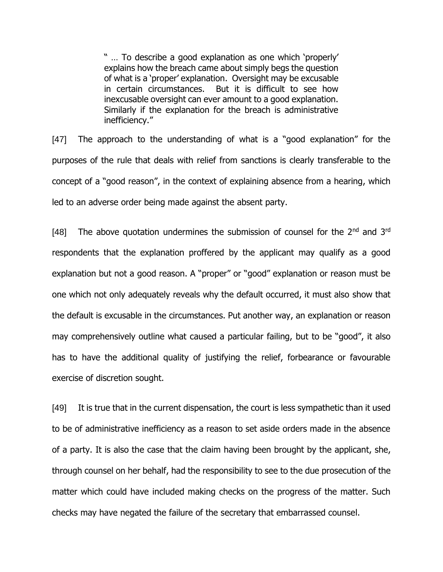" … To describe a good explanation as one which 'properly' explains how the breach came about simply begs the question of what is a 'proper' explanation. Oversight may be excusable in certain circumstances. But it is difficult to see how inexcusable oversight can ever amount to a good explanation. Similarly if the explanation for the breach is administrative inefficiency."

[47] The approach to the understanding of what is a "good explanation" for the purposes of the rule that deals with relief from sanctions is clearly transferable to the concept of a "good reason", in the context of explaining absence from a hearing, which led to an adverse order being made against the absent party.

[48] The above quotation undermines the submission of counsel for the  $2^{nd}$  and  $3^{rd}$ respondents that the explanation proffered by the applicant may qualify as a good explanation but not a good reason. A "proper" or "good" explanation or reason must be one which not only adequately reveals why the default occurred, it must also show that the default is excusable in the circumstances. Put another way, an explanation or reason may comprehensively outline what caused a particular failing, but to be "good", it also has to have the additional quality of justifying the relief, forbearance or favourable exercise of discretion sought.

[49] It is true that in the current dispensation, the court is less sympathetic than it used to be of administrative inefficiency as a reason to set aside orders made in the absence of a party. It is also the case that the claim having been brought by the applicant, she, through counsel on her behalf, had the responsibility to see to the due prosecution of the matter which could have included making checks on the progress of the matter. Such checks may have negated the failure of the secretary that embarrassed counsel.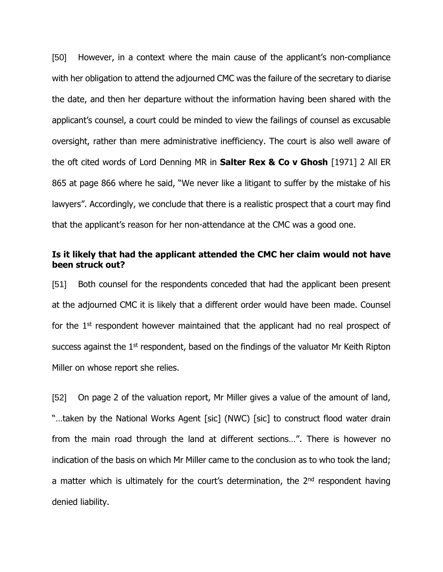[50] However, in a context where the main cause of the applicant's non-compliance with her obligation to attend the adjourned CMC was the failure of the secretary to diarise the date, and then her departure without the information having been shared with the applicant's counsel, a court could be minded to view the failings of counsel as excusable oversight, rather than mere administrative inefficiency. The court is also well aware of the oft cited words of Lord Denning MR in **Salter Rex & Co v Ghosh** [1971] 2 All ER 865 at page 866 where he said, "We never like a litigant to suffer by the mistake of his lawyers". Accordingly, we conclude that there is a realistic prospect that a court may find that the applicant's reason for her non-attendance at the CMC was a good one.

### **Is it likely that had the applicant attended the CMC her claim would not have been struck out?**

[51] Both counsel for the respondents conceded that had the applicant been present at the adjourned CMC it is likely that a different order would have been made. Counsel for the  $1<sup>st</sup>$  respondent however maintained that the applicant had no real prospect of success against the  $1<sup>st</sup>$  respondent, based on the findings of the valuator Mr Keith Ripton Miller on whose report she relies.

[52] On page 2 of the valuation report, Mr Miller gives a value of the amount of land, "…taken by the National Works Agent [sic] (NWC) [sic] to construct flood water drain from the main road through the land at different sections…". There is however no indication of the basis on which Mr Miller came to the conclusion as to who took the land; a matter which is ultimately for the court's determination, the  $2<sup>nd</sup>$  respondent having denied liability.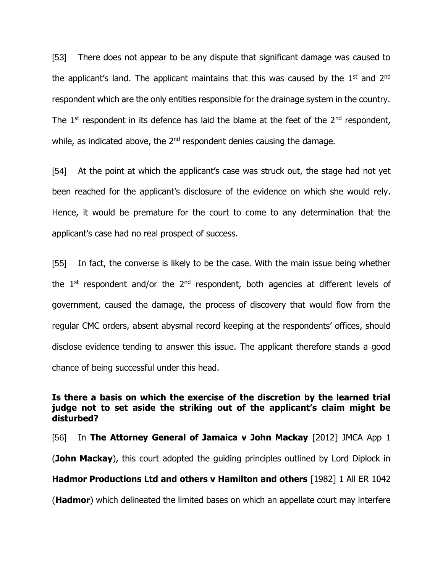[53] There does not appear to be any dispute that significant damage was caused to the applicant's land. The applicant maintains that this was caused by the  $1<sup>st</sup>$  and  $2<sup>nd</sup>$ respondent which are the only entities responsible for the drainage system in the country. The  $1<sup>st</sup>$  respondent in its defence has laid the blame at the feet of the  $2<sup>nd</sup>$  respondent, while, as indicated above, the  $2<sup>nd</sup>$  respondent denies causing the damage.

[54] At the point at which the applicant's case was struck out, the stage had not yet been reached for the applicant's disclosure of the evidence on which she would rely. Hence, it would be premature for the court to come to any determination that the applicant's case had no real prospect of success.

[55] In fact, the converse is likely to be the case. With the main issue being whether the  $1<sup>st</sup>$  respondent and/or the  $2<sup>nd</sup>$  respondent, both agencies at different levels of government, caused the damage, the process of discovery that would flow from the regular CMC orders, absent abysmal record keeping at the respondents' offices, should disclose evidence tending to answer this issue. The applicant therefore stands a good chance of being successful under this head.

## **Is there a basis on which the exercise of the discretion by the learned trial judge not to set aside the striking out of the applicant's claim might be disturbed?**

[56] In **The Attorney General of Jamaica v John Mackay** [2012] JMCA App 1 (**John Mackay**), this court adopted the guiding principles outlined by Lord Diplock in **Hadmor Productions Ltd and others v Hamilton and others** [1982] 1 All ER 1042 (**Hadmor**) which delineated the limited bases on which an appellate court may interfere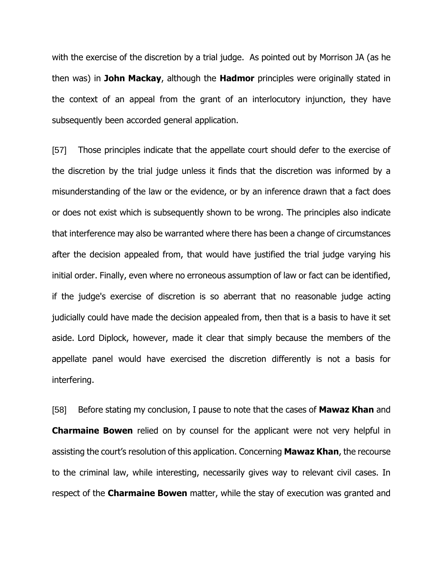with the exercise of the discretion by a trial judge. As pointed out by Morrison JA (as he then was) in **John Mackay**, although the **Hadmor** principles were originally stated in the context of an appeal from the grant of an interlocutory injunction, they have subsequently been accorded general application.

[57] Those principles indicate that the appellate court should defer to the exercise of the discretion by the trial judge unless it finds that the discretion was informed by a misunderstanding of the law or the evidence, or by an inference drawn that a fact does or does not exist which is subsequently shown to be wrong. The principles also indicate that interference may also be warranted where there has been a change of circumstances after the decision appealed from, that would have justified the trial judge varying his initial order. Finally, even where no erroneous assumption of law or fact can be identified, if the judge's exercise of discretion is so aberrant that no reasonable judge acting judicially could have made the decision appealed from, then that is a basis to have it set aside. Lord Diplock, however, made it clear that simply because the members of the appellate panel would have exercised the discretion differently is not a basis for interfering.

[58] Before stating my conclusion, I pause to note that the cases of **Mawaz Khan** and **Charmaine Bowen** relied on by counsel for the applicant were not very helpful in assisting the court's resolution of this application. Concerning **Mawaz Khan**, the recourse to the criminal law, while interesting, necessarily gives way to relevant civil cases. In respect of the **Charmaine Bowen** matter, while the stay of execution was granted and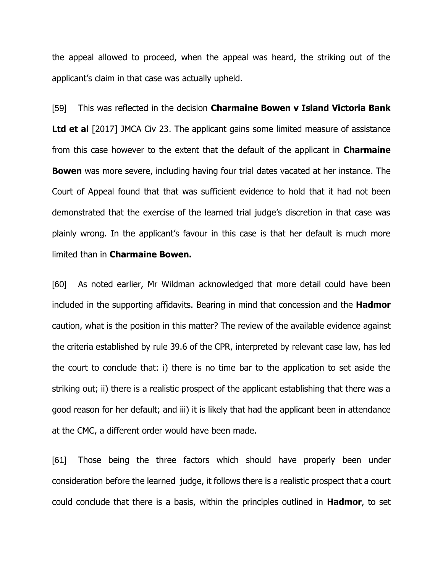the appeal allowed to proceed, when the appeal was heard, the striking out of the applicant's claim in that case was actually upheld.

[59] This was reflected in the decision **Charmaine Bowen v Island Victoria Bank Ltd et al** [2017] JMCA Civ 23. The applicant gains some limited measure of assistance from this case however to the extent that the default of the applicant in **Charmaine Bowen** was more severe, including having four trial dates vacated at her instance. The Court of Appeal found that that was sufficient evidence to hold that it had not been demonstrated that the exercise of the learned trial judge's discretion in that case was plainly wrong. In the applicant's favour in this case is that her default is much more limited than in **Charmaine Bowen.**

[60] As noted earlier, Mr Wildman acknowledged that more detail could have been included in the supporting affidavits. Bearing in mind that concession and the **Hadmor** caution, what is the position in this matter? The review of the available evidence against the criteria established by rule 39.6 of the CPR, interpreted by relevant case law, has led the court to conclude that: i) there is no time bar to the application to set aside the striking out; ii) there is a realistic prospect of the applicant establishing that there was a good reason for her default; and iii) it is likely that had the applicant been in attendance at the CMC, a different order would have been made.

[61] Those being the three factors which should have properly been under consideration before the learned judge, it follows there is a realistic prospect that a court could conclude that there is a basis, within the principles outlined in **Hadmor**, to set